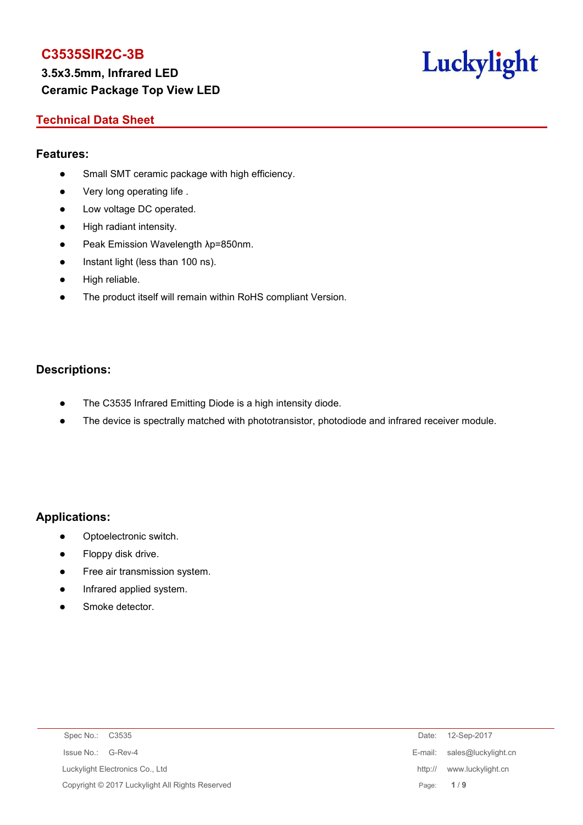# **3.5x3.5mm, Infrared LED Ceramic Package Top View LED**

# Luckylight

# **Technical Data Sheet**

## **Features:**

- Small SMT ceramic package with high efficiency.
- Very long operating life.
- Low voltage DC operated.
- High radiant intensity.
- Peak Emission Wavelength λp=850nm.
- Instant light (less than 100 ns).
- High reliable.
- The product itself will remain within RoHS compliant Version.

## **Descriptions:**

- The C3535 Infrared Emitting Diode is a high intensity diode.
- The device is spectrally matched with phototransistor, photodiode and infrared receiver module.

## **Applications:**

- Optoelectronic switch.
- Floppy disk drive.
- **•** Free air transmission system.
- Infrared applied system.
- Smoke detector.

| Spec No.: C3535                 |                                                 |         | Date: 12-Sep-2017           |
|---------------------------------|-------------------------------------------------|---------|-----------------------------|
| Issue No.: G-Rev-4              |                                                 |         | E-mail: sales@luckylight.cn |
| Luckylight Electronics Co., Ltd |                                                 | http:// | www.luckylight.cn           |
|                                 | Copyright © 2017 Luckylight All Rights Reserved |         | Page: 1/9                   |
|                                 |                                                 |         |                             |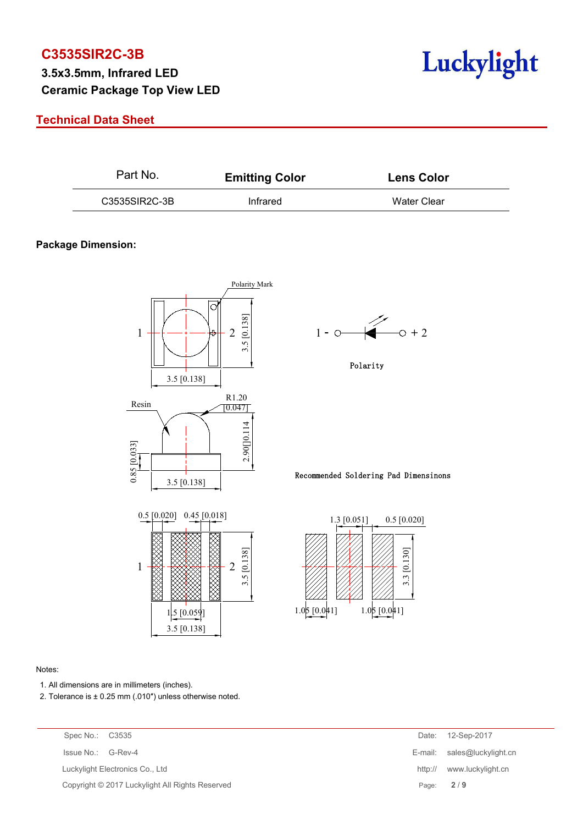# **3.5x3.5mm, Infrared LED Ceramic Package Top View LED**

# **Technical Data Sheet**



| Part No.      | <b>Emitting Color</b> | <b>Lens Color</b> |  |  |
|---------------|-----------------------|-------------------|--|--|
| C3535SIR2C-3B | Infrared              | Water Clear       |  |  |

### **Package Dimension:**



#### Notes:

- 1. All dimensions are in millimeters (inches).
- 2. Tolerance is  $\pm$  0.25 mm (.010") unless otherwise noted.

| Spec No.: C3535                                 | Date:   | 12-Sep-2017                 |
|-------------------------------------------------|---------|-----------------------------|
| Issue No.: G-Rev-4                              |         | E-mail: sales@luckylight.cn |
| Luckylight Electronics Co., Ltd                 | http:// | www.luckylight.cn           |
| Copyright © 2017 Luckylight All Rights Reserved |         | Page: $2/9$                 |
|                                                 |         |                             |



Polarity

Recommended Soldering Pad Dimensinons

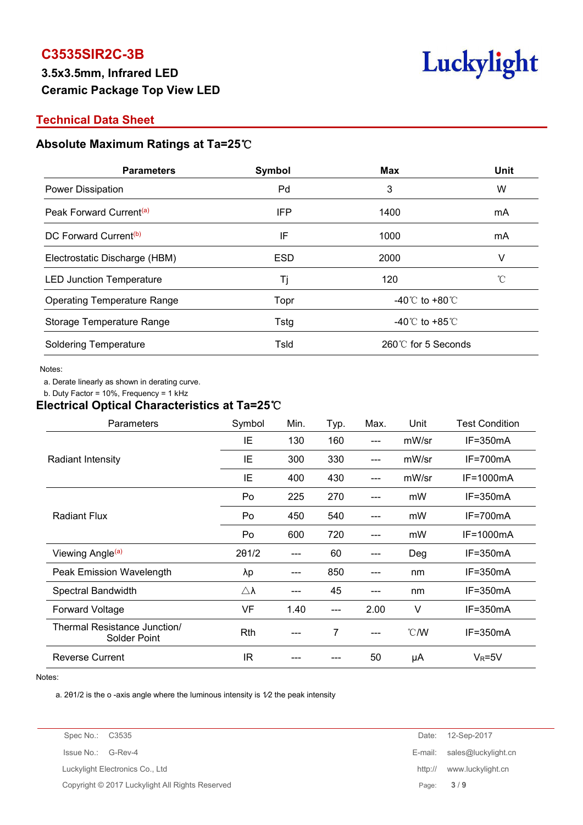# **3.5x3.5mm, Infrared LED Ceramic Package Top View LED**



## **Technical Data Sheet**

## **Absolute Maximum Ratings at Ta=25**℃

| <b>Parameters</b>                   | Symbol     | Max                                  | Unit |  |
|-------------------------------------|------------|--------------------------------------|------|--|
| Power Dissipation                   | Pd         | 3                                    | W    |  |
| Peak Forward Current <sup>(a)</sup> | IFP        | 1400                                 | mA   |  |
| DC Forward Current <sup>(b)</sup>   | IF         | 1000                                 | mA   |  |
| Electrostatic Discharge (HBM)       | <b>ESD</b> | 2000                                 | V    |  |
| <b>LED Junction Temperature</b>     | Tj         | 120                                  | °C   |  |
| <b>Operating Temperature Range</b>  | Topr       | -40 $^{\circ}$ C to +80 $^{\circ}$ C |      |  |
| Storage Temperature Range           | Tstg       | -40 $\degree$ C to +85 $\degree$ C   |      |  |
| <b>Soldering Temperature</b>        | Tsld       | 260℃ for 5 Seconds                   |      |  |

#### Notes:

a. Derate linearly as shown in derating curve.

b. Duty Factor = 10%, Frequency = 1 kHz

#### **Electrical Optical Characteristics at Ta=25**℃

| Parameters                                   | Symbol              | Min. | Typ.  | Max.  | Unit          | <b>Test Condition</b> |
|----------------------------------------------|---------------------|------|-------|-------|---------------|-----------------------|
|                                              | IE                  | 130  | 160   | $---$ | mW/sr         | $IF = 350mA$          |
| <b>Radiant Intensity</b>                     | IE                  | 300  | 330   | $---$ | mW/sr         | IF=700mA              |
|                                              | IE                  | 400  | 430   | $---$ | mW/sr         | IF=1000mA             |
|                                              | Po                  | 225  | 270   | ---   | mW            | IF=350mA              |
| <b>Radiant Flux</b>                          | Po                  | 450  | 540   | $---$ | mW            | IF=700mA              |
|                                              | Po                  | 600  | 720   | $---$ | mW            | IF=1000mA             |
| Viewing Angle <sup>(a)</sup>                 | 201/2               | ---  | 60    | ---   | Deg           | IF=350mA              |
| Peak Emission Wavelength                     | λp                  | ---  | 850   | $---$ | nm            | IF=350mA              |
| Spectral Bandwidth                           | $\triangle \lambda$ | ---  | 45    | $---$ | nm            | IF=350mA              |
| Forward Voltage                              | VF                  | 1.40 | $---$ | 2.00  | V             | $IF = 350mA$          |
| Thermal Resistance Junction/<br>Solder Point | Rth                 | ---  | 7     | $---$ | $\degree$ C/W | $IF = 350mA$          |
| <b>Reverse Current</b>                       | <b>IR</b>           |      |       | 50    | μA            | $V_R = 5V$            |

Notes:<br>a. 201/2 is the o -axis angle where the luminous intensity is 1⁄2 the peak intensity

| Spec No.: C3535                                 | Date:   | 12-Sep-2017         |
|-------------------------------------------------|---------|---------------------|
| Issue No.: G-Rev-4                              | E-mail: | sales@luckylight.cn |
| Luckylight Electronics Co., Ltd                 | http:// | www.luckylight.cn   |
| Copyright © 2017 Luckylight All Rights Reserved | Page:   | 3/9                 |
|                                                 |         |                     |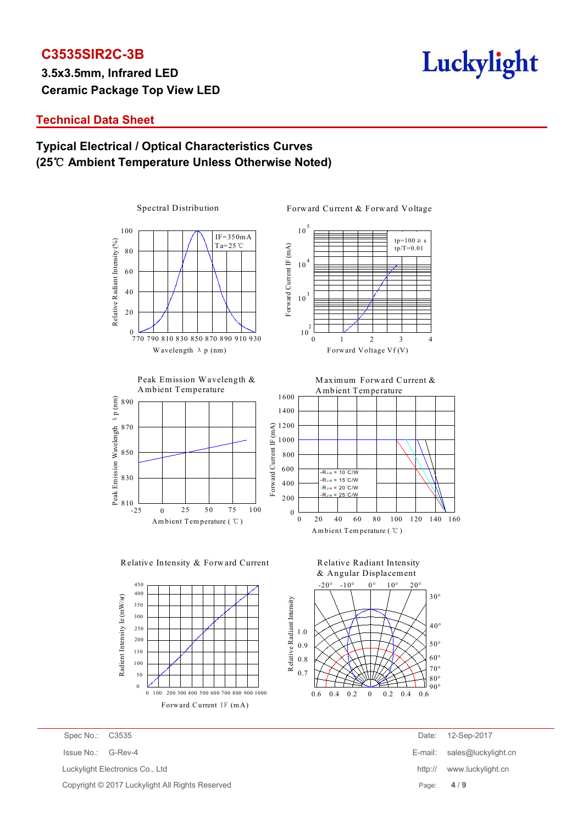**3.5x3.5mm, Infrared LED Ceramic Package Top View LED**



## **Technical Data Sheet**

# **Typical Electrical / Optical Characteristics Curves (25**℃ **Ambient Temperature Unless Otherwise Noted)**

Spectral Distribution

Forward Current & Forward Voltage











Am bient Tem perature ( ℃ )







Copyright © 2017 Luckylight All Rights Reserved Page: **4** / **9**

Spec No.: C3535 Date: 12-Sep-2017 Issue No.: G-Rev-4 E-mail: sales@luckylight.cn Luckylight Electronics Co., Ltd **http:// www.luckylight.cn**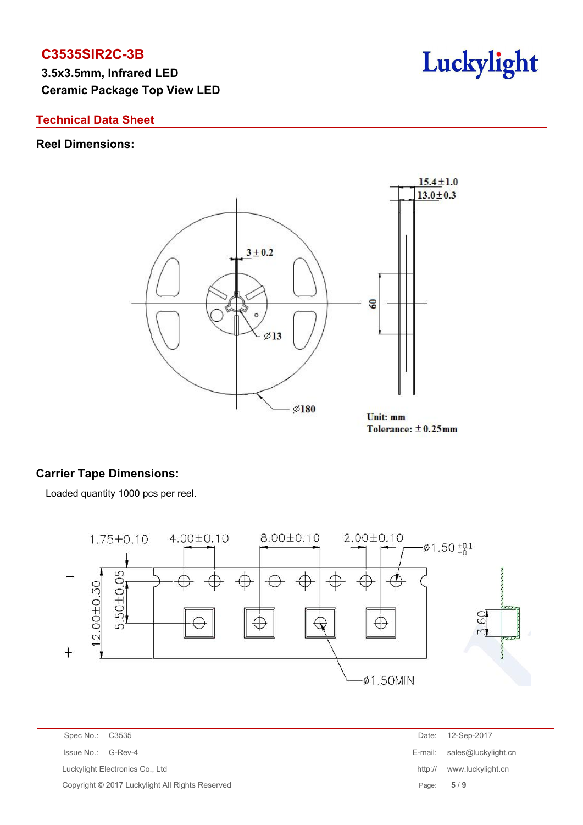**3.5x3.5mm, Infrared LED Ceramic Package Top View LED**

## **Technical Data Sheet**

## **Reel Dimensions:**



Tolerance:  $\pm$ 0.25mm

# **Carrier Tape Dimensions:**

Loaded quantity 1000 pcs per reel.



Spec No.: C3535 Date: 12-Sep-2017 Issue No.: G-Rev-4 E-mail: sales@luckylight.cn Luckylight Electronics Co., Ltd http:// www.luckylight.cn Copyright © 2017 Luckylight All Rights Reserved **Page: 5** / 9

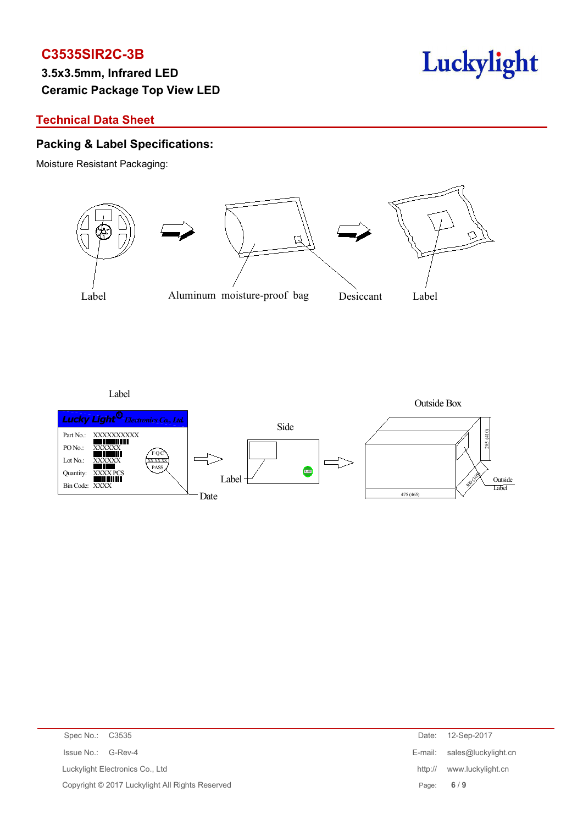# **3.5x3.5mm, Infrared LED Ceramic Package Top View LED**

# **Technical Data Sheet**

## **Packing & Label Specifications:**

Moisture Resistant Packaging:



Luckylight

Label



| Spec No.: C3535                                 | Date:   | 12-Sep-2017                 |
|-------------------------------------------------|---------|-----------------------------|
| Issue No.: G-Rev-4                              |         | E-mail: sales@luckylight.cn |
| Luckylight Electronics Co., Ltd                 | http:// | www.luckylight.cn           |
| Copyright © 2017 Luckylight All Rights Reserved |         | Page: $6/9$                 |
|                                                 |         |                             |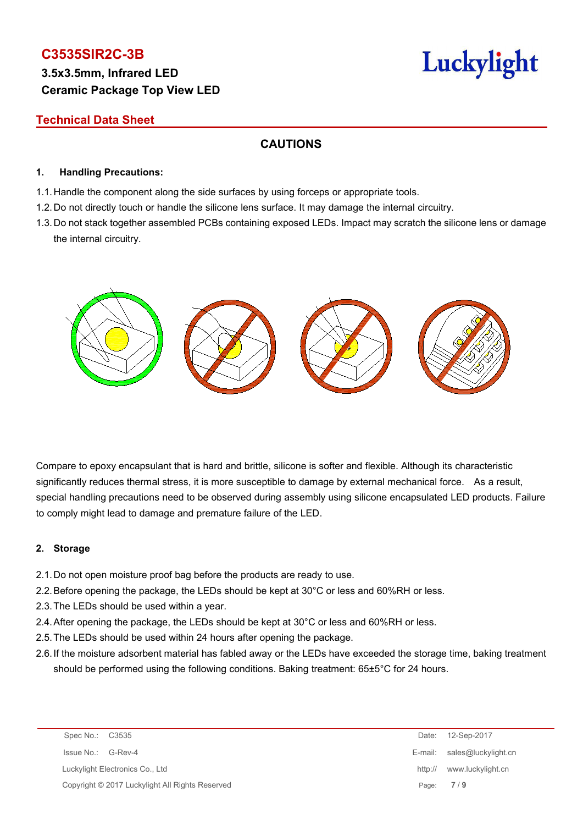# **3.5x3.5mm, Infrared LED Ceramic Package Top View LED**

# Luckylight

# **Technical Data Sheet**

# **CAUTIONS**

### **1. Handling Precautions:**

- 1.1. Handle the component along the side surfaces by using forceps or appropriate tools.
- 1.2. Do not directly touch or handle the silicone lens surface. It may damage the internal circuitry.
- 1.3. Do not stack together assembled PCBs containing exposed LEDs. Impact may scratch the silicone lens or damage the internal circuitry.



Compare to epoxy encapsulant that is hard and brittle, silicone is softer and flexible. Although its characteristic significantly reduces thermal stress, it is more susceptible to damage by external mechanical force. As a result, special handling precautions need to be observed during assembly using silicone encapsulated LED products. Failure to comply might lead to damage and premature failure of the LED.

## **2. Storage**

- 2.1.Do not open moisture proof bag before the products are ready to use.
- 2.2.Before opening the package, the LEDs should be kept at 30°C or less and 60%RH or less.
- 2.3.The LEDs should be used within a year.
- 2.4.After opening the package, the LEDs should be kept at 30°C or less and 60%RH or less.
- 2.5.The LEDs should be used within 24 hours after opening the package.
- 2.6.If the moisture adsorbent material has fabled away or the LEDs have exceeded the storage time, baking treatment should be performed using the following conditions. Baking treatment: 65±5°C for 24 hours.

| Spec No.: C3535    |                                                 |         | Date: 12-Sep-2017           |
|--------------------|-------------------------------------------------|---------|-----------------------------|
| Issue No.: G-Rev-4 |                                                 |         | E-mail: sales@luckylight.cn |
|                    | Luckylight Electronics Co., Ltd                 | http:// | www.luckylight.cn           |
|                    | Copyright © 2017 Luckylight All Rights Reserved |         | Page: $7/9$                 |
|                    |                                                 |         |                             |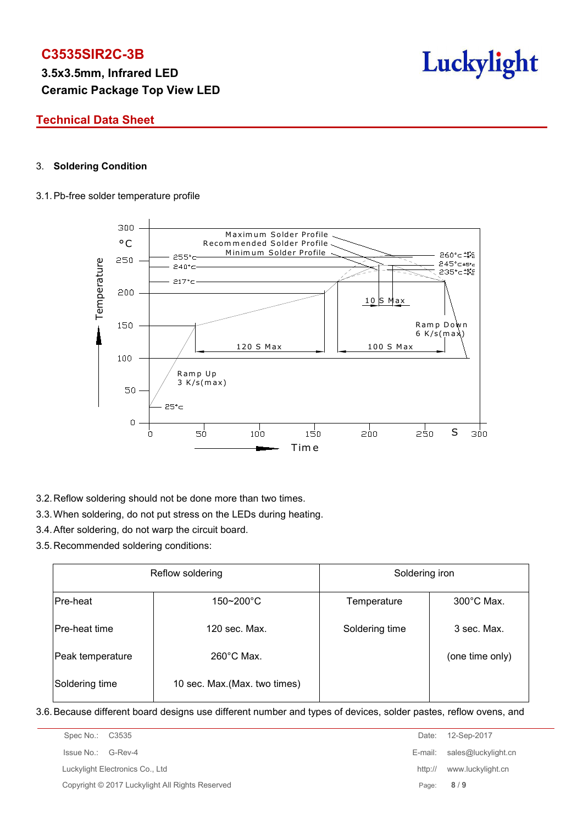**3.5x3.5mm, Infrared LED Ceramic Package Top View LED**



## **Technical Data Sheet**

### 3. **Soldering Condition**

#### 3.1.Pb-free solder temperature profile



- 3.2.Reflow soldering should not be done more than two times.
- 3.3.When soldering, do not put stress on the LEDs during heating.
- 3.4.After soldering, do not warp the circuit board.
- 3.5.Recommended soldering conditions:

|                  | Reflow soldering              | Soldering iron                      |                 |  |  |
|------------------|-------------------------------|-------------------------------------|-----------------|--|--|
| Pre-heat         | 150~200°C                     | $300^{\circ}$ C Max.<br>Temperature |                 |  |  |
| Pre-heat time    | 120 sec. Max.                 | Soldering time                      | 3 sec. Max.     |  |  |
| Peak temperature | $260^{\circ}$ C Max.          |                                     | (one time only) |  |  |
| Soldering time   | 10 sec. Max. (Max. two times) |                                     |                 |  |  |

3.6.Because different board designs use different number and types of devices, solder pastes, reflow ovens, and

| Spec No.: C3535                                 |         | Date: 12-Sep-2017           |
|-------------------------------------------------|---------|-----------------------------|
| Issue No.: G-Rev-4                              |         | E-mail: sales@luckylight.cn |
| Luckylight Electronics Co., Ltd                 | http:// | www.luckylight.cn           |
| Copyright © 2017 Luckylight All Rights Reserved |         | Page: $8/9$                 |
|                                                 |         |                             |